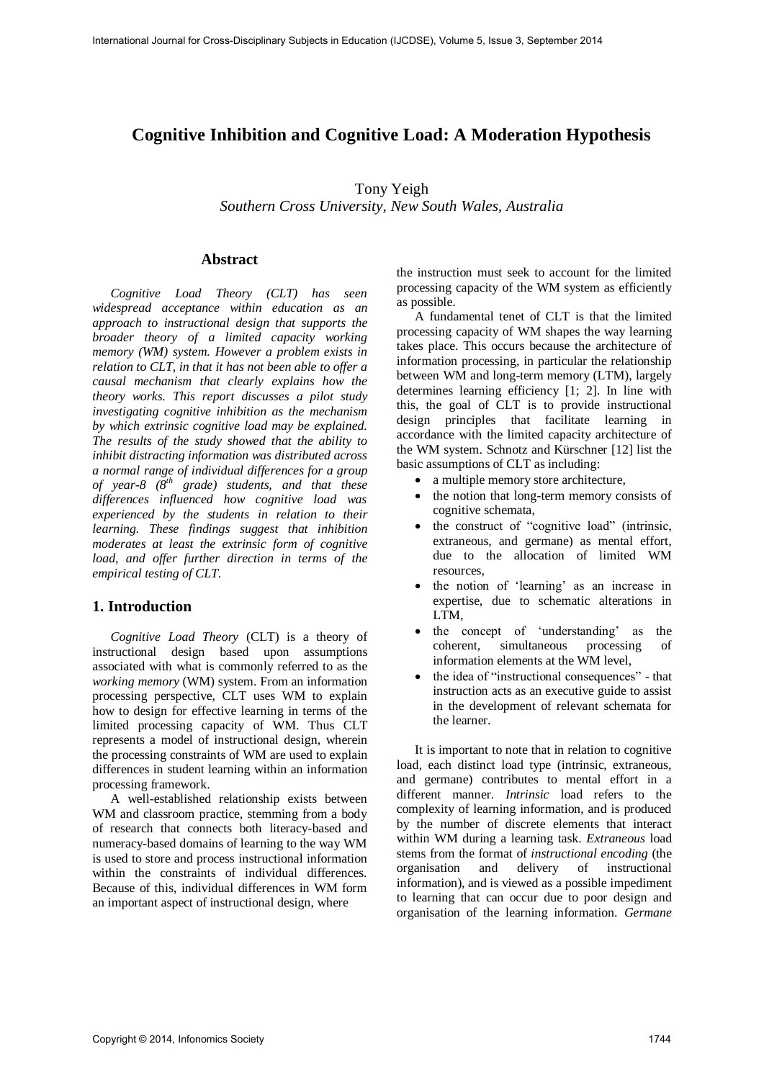# **Cognitive Inhibition and Cognitive Load: A Moderation Hypothesis**

Tony Yeigh

*Southern Cross University, New South Wales, Australia* 

## **Abstract**

*Cognitive Load Theory (CLT) has seen widespread acceptance within education as an approach to instructional design that supports the broader theory of a limited capacity working memory (WM) system. However a problem exists in relation to CLT, in that it has not been able to offer a causal mechanism that clearly explains how the theory works. This report discusses a pilot study investigating cognitive inhibition as the mechanism by which extrinsic cognitive load may be explained. The results of the study showed that the ability to inhibit distracting information was distributed across a normal range of individual differences for a group of year-8 (8th grade) students, and that these differences influenced how cognitive load was experienced by the students in relation to their learning. These findings suggest that inhibition moderates at least the extrinsic form of cognitive load, and offer further direction in terms of the empirical testing of CLT.* 

# **1. Introduction**

*Cognitive Load Theory* (CLT) is a theory of instructional design based upon assumptions associated with what is commonly referred to as the *working memory* (WM) system. From an information processing perspective, CLT uses WM to explain how to design for effective learning in terms of the limited processing capacity of WM. Thus CLT represents a model of instructional design, wherein the processing constraints of WM are used to explain differences in student learning within an information processing framework.

A well-established relationship exists between WM and classroom practice, stemming from a body of research that connects both literacy-based and numeracy-based domains of learning to the way WM is used to store and process instructional information within the constraints of individual differences. Because of this, individual differences in WM form an important aspect of instructional design, where

the instruction must seek to account for the limited processing capacity of the WM system as efficiently as possible.

A fundamental tenet of CLT is that the limited processing capacity of WM shapes the way learning takes place. This occurs because the architecture of information processing, in particular the relationship between WM and long-term memory (LTM), largely determines learning efficiency [1; 2]. In line with this, the goal of CLT is to provide instructional design principles that facilitate learning in accordance with the limited capacity architecture of the WM system. Schnotz and Kürschner [12] list the basic assumptions of CLT as including:

- a multiple memory store architecture,
- the notion that long-term memory consists of cognitive schemata,
- the construct of "cognitive load" (intrinsic, extraneous, and germane) as mental effort, due to the allocation of limited WM resources,
- the notion of 'learning' as an increase in expertise, due to schematic alterations in LTM,
- the concept of 'understanding' as the coherent, simultaneous processing of information elements at the WM level,
- the idea of "instructional consequences" that instruction acts as an executive guide to assist in the development of relevant schemata for the learner.

It is important to note that in relation to cognitive load, each distinct load type (intrinsic, extraneous, and germane) contributes to mental effort in a different manner. *Intrinsic* load refers to the complexity of learning information, and is produced by the number of discrete elements that interact within WM during a learning task. *Extraneous* load stems from the format of *instructional encoding* (the organisation and delivery of instructional information), and is viewed as a possible impediment to learning that can occur due to poor design and organisation of the learning information. *Germane*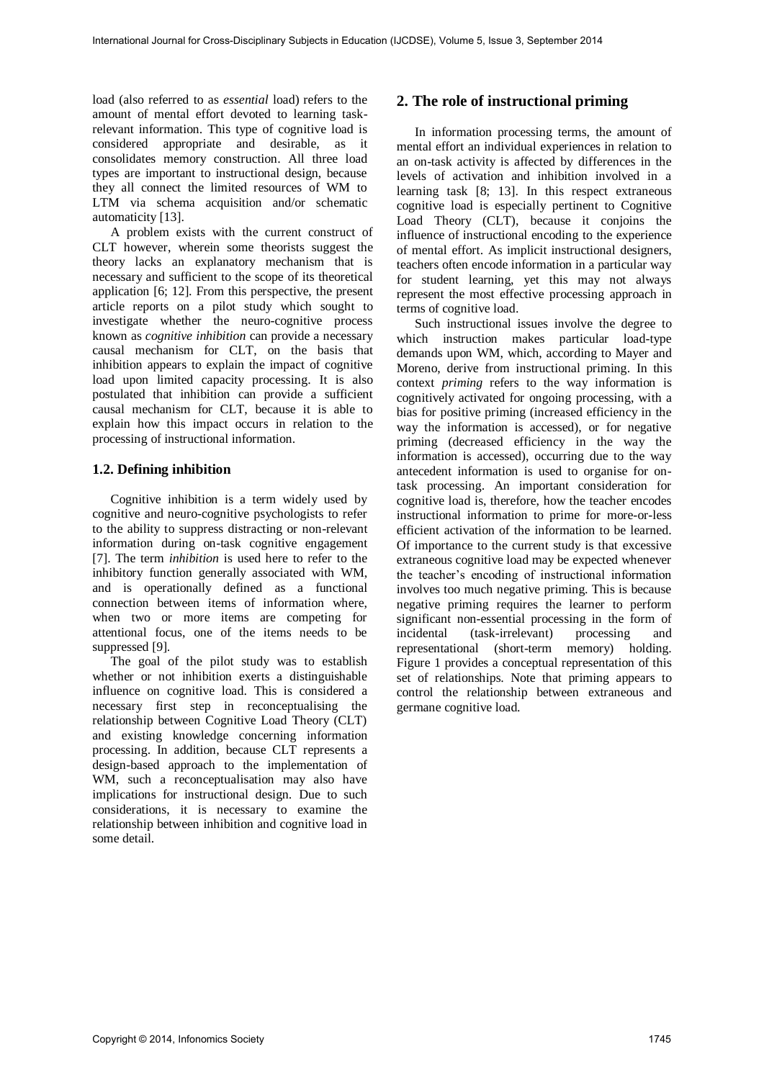load (also referred to as *essential* load) refers to the amount of mental effort devoted to learning taskrelevant information. This type of cognitive load is considered appropriate and desirable, as it consolidates memory construction. All three load types are important to instructional design, because they all connect the limited resources of WM to LTM via schema acquisition and/or schematic automaticity [13].

A problem exists with the current construct of CLT however, wherein some theorists suggest the theory lacks an explanatory mechanism that is necessary and sufficient to the scope of its theoretical application [6; 12]. From this perspective, the present article reports on a pilot study which sought to investigate whether the neuro-cognitive process known as *cognitive inhibition* can provide a necessary causal mechanism for CLT, on the basis that inhibition appears to explain the impact of cognitive load upon limited capacity processing. It is also postulated that inhibition can provide a sufficient causal mechanism for CLT, because it is able to explain how this impact occurs in relation to the processing of instructional information.

## **1.2. Defining inhibition**

 Cognitive inhibition is a term widely used by cognitive and neuro-cognitive psychologists to refer to the ability to suppress distracting or non-relevant information during on-task cognitive engagement [7]. The term *inhibition* is used here to refer to the inhibitory function generally associated with WM, and is operationally defined as a functional connection between items of information where, when two or more items are competing for attentional focus, one of the items needs to be suppressed [9].

 The goal of the pilot study was to establish whether or not inhibition exerts a distinguishable influence on cognitive load. This is considered a necessary first step in reconceptualising the relationship between Cognitive Load Theory (CLT) and existing knowledge concerning information processing. In addition, because CLT represents a design-based approach to the implementation of WM, such a reconceptualisation may also have implications for instructional design. Due to such considerations, it is necessary to examine the relationship between inhibition and cognitive load in some detail.

# **2. The role of instructional priming**

In information processing terms, the amount of mental effort an individual experiences in relation to an on-task activity is affected by differences in the levels of activation and inhibition involved in a learning task [8; 13]. In this respect extraneous cognitive load is especially pertinent to Cognitive Load Theory (CLT), because it conjoins the influence of instructional encoding to the experience of mental effort. As implicit instructional designers, teachers often encode information in a particular way for student learning, yet this may not always represent the most effective processing approach in terms of cognitive load.

Such instructional issues involve the degree to which instruction makes particular load-type demands upon WM, which, according to Mayer and Moreno, derive from instructional priming. In this context *priming* refers to the way information is cognitively activated for ongoing processing, with a bias for positive priming (increased efficiency in the way the information is accessed), or for negative priming (decreased efficiency in the way the information is accessed), occurring due to the way antecedent information is used to organise for ontask processing. An important consideration for cognitive load is, therefore, how the teacher encodes instructional information to prime for more-or-less efficient activation of the information to be learned. Of importance to the current study is that excessive extraneous cognitive load may be expected whenever the teacher's encoding of instructional information involves too much negative priming. This is because negative priming requires the learner to perform significant non-essential processing in the form of incidental (task-irrelevant) processing and representational (short-term memory) holding. Figure 1 provides a conceptual representation of this set of relationships. Note that priming appears to control the relationship between extraneous and germane cognitive load.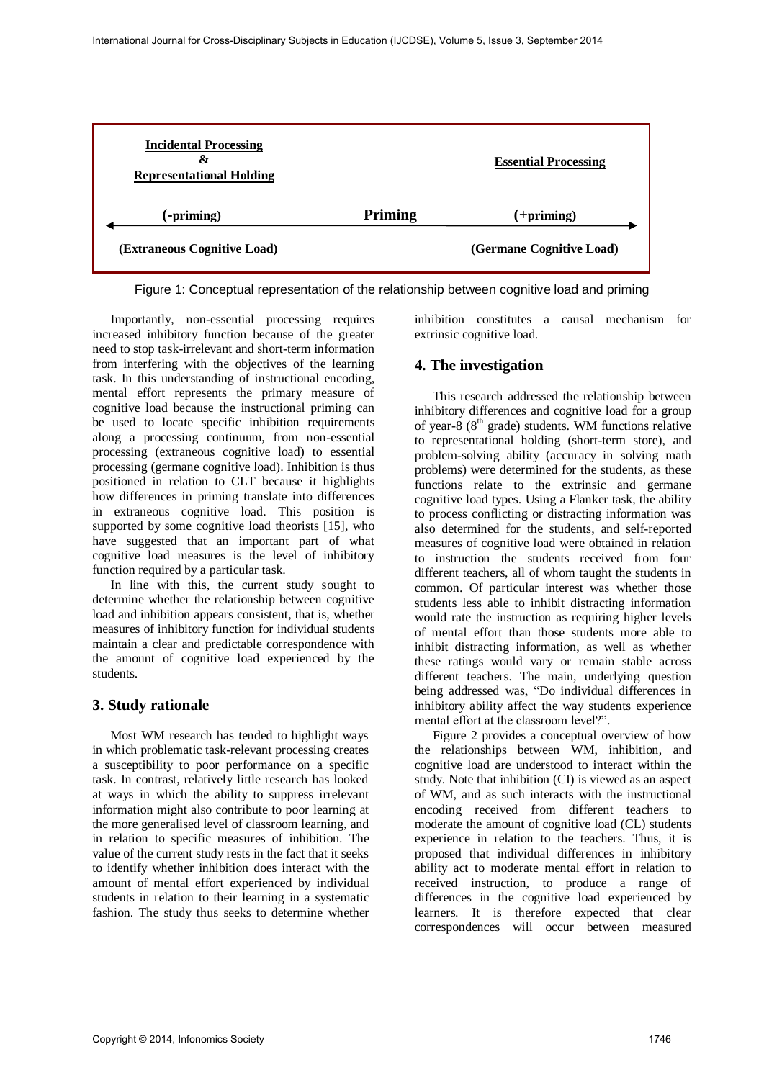

Figure 1: Conceptual representation of the relationship between cognitive load and priming

Importantly, non-essential processing requires increased inhibitory function because of the greater need to stop task-irrelevant and short-term information from interfering with the objectives of the learning task. In this understanding of instructional encoding, mental effort represents the primary measure of cognitive load because the instructional priming can be used to locate specific inhibition requirements along a processing continuum, from non-essential processing (extraneous cognitive load) to essential processing (germane cognitive load). Inhibition is thus positioned in relation to CLT because it highlights how differences in priming translate into differences in extraneous cognitive load. This position is supported by some cognitive load theorists [15], who have suggested that an important part of what cognitive load measures is the level of inhibitory function required by a particular task.

In line with this, the current study sought to determine whether the relationship between cognitive load and inhibition appears consistent, that is, whether measures of inhibitory function for individual students maintain a clear and predictable correspondence with the amount of cognitive load experienced by the students.

# **3. Study rationale**

 Most WM research has tended to highlight ways in which problematic task-relevant processing creates a susceptibility to poor performance on a specific task. In contrast, relatively little research has looked at ways in which the ability to suppress irrelevant information might also contribute to poor learning at the more generalised level of classroom learning, and in relation to specific measures of inhibition. The value of the current study rests in the fact that it seeks to identify whether inhibition does interact with the amount of mental effort experienced by individual students in relation to their learning in a systematic fashion. The study thus seeks to determine whether inhibition constitutes a causal mechanism for extrinsic cognitive load.

# **4. The investigation**

This research addressed the relationship between inhibitory differences and cognitive load for a group of year-8  $(8<sup>th</sup> \text{ grade})$  students. WM functions relative to representational holding (short-term store), and problem-solving ability (accuracy in solving math problems) were determined for the students, as these functions relate to the extrinsic and germane cognitive load types. Using a Flanker task, the ability to process conflicting or distracting information was also determined for the students, and self-reported measures of cognitive load were obtained in relation to instruction the students received from four different teachers, all of whom taught the students in common. Of particular interest was whether those students less able to inhibit distracting information would rate the instruction as requiring higher levels of mental effort than those students more able to inhibit distracting information, as well as whether these ratings would vary or remain stable across different teachers. The main, underlying question being addressed was, "Do individual differences in inhibitory ability affect the way students experience mental effort at the classroom level?".

Figure 2 provides a conceptual overview of how the relationships between WM, inhibition, and cognitive load are understood to interact within the study. Note that inhibition (CI) is viewed as an aspect of WM, and as such interacts with the instructional encoding received from different teachers to moderate the amount of cognitive load (CL) students experience in relation to the teachers. Thus, it is proposed that individual differences in inhibitory ability act to moderate mental effort in relation to received instruction, to produce a range of differences in the cognitive load experienced by learners. It is therefore expected that clear correspondences will occur between measured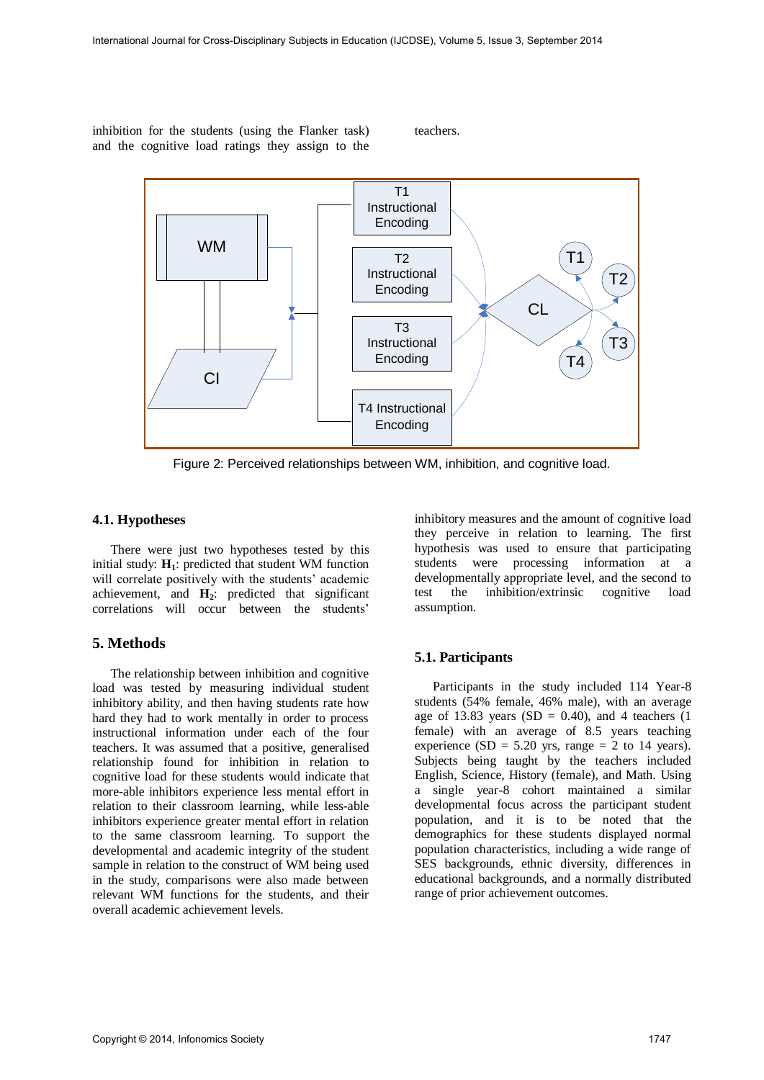inhibition for the students (using the Flanker task) and the cognitive load ratings they assign to the

teachers.



Figure 2: Perceived relationships between WM, inhibition, and cognitive load.

#### **4.1. Hypotheses**

There were just two hypotheses tested by this initial study: **H1**: predicted that student WM function will correlate positively with the students' academic achievement, and **H2**: predicted that significant correlations will occur between the students'

### **5. Methods**

The relationship between inhibition and cognitive load was tested by measuring individual student inhibitory ability, and then having students rate how hard they had to work mentally in order to process instructional information under each of the four teachers. It was assumed that a positive, generalised relationship found for inhibition in relation to cognitive load for these students would indicate that more-able inhibitors experience less mental effort in relation to their classroom learning, while less-able inhibitors experience greater mental effort in relation to the same classroom learning. To support the developmental and academic integrity of the student sample in relation to the construct of WM being used in the study, comparisons were also made between relevant WM functions for the students, and their overall academic achievement levels.

inhibitory measures and the amount of cognitive load they perceive in relation to learning. The first hypothesis was used to ensure that participating students were processing information at a developmentally appropriate level, and the second to test the inhibition/extrinsic cognitive load assumption.

### **5.1. Participants**

Participants in the study included 114 Year-8 students (54% female, 46% male), with an average age of 13.83 years  $(SD = 0.40)$ , and 4 teachers  $(1)$ female) with an average of 8.5 years teaching experience (SD = 5.20 yrs, range = 2 to 14 years). Subjects being taught by the teachers included English, Science, History (female), and Math. Using a single year-8 cohort maintained a similar developmental focus across the participant student population, and it is to be noted that the demographics for these students displayed normal population characteristics, including a wide range of SES backgrounds, ethnic diversity, differences in educational backgrounds, and a normally distributed range of prior achievement outcomes.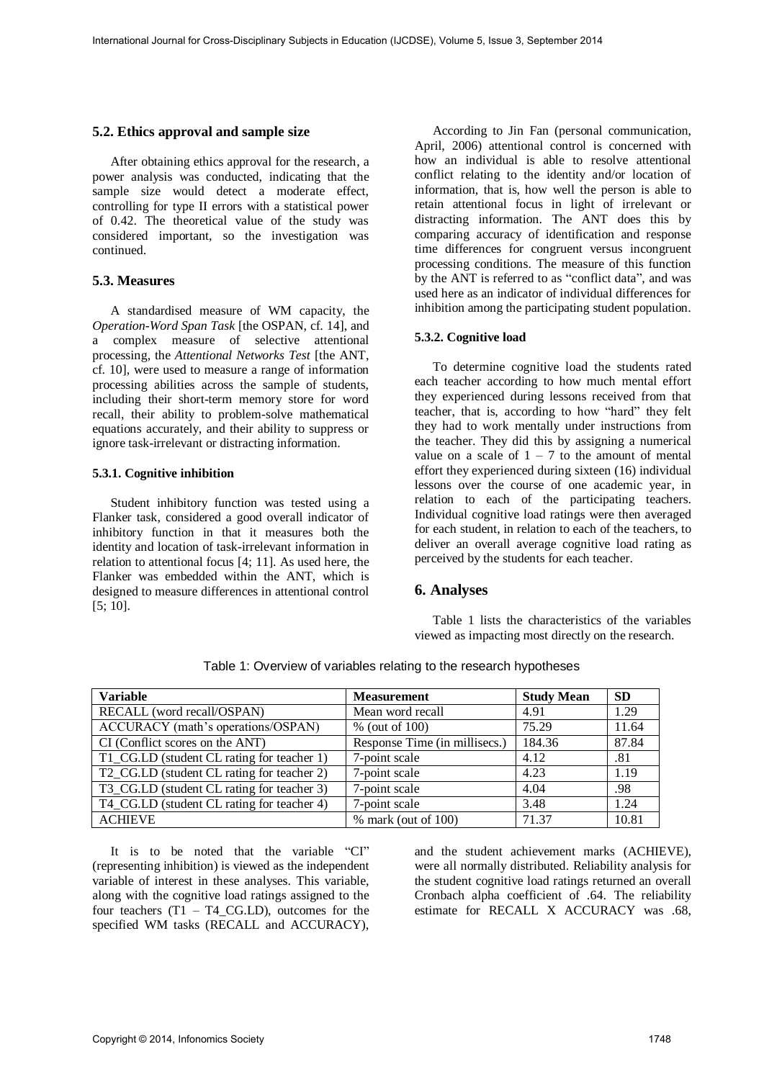#### **5.2. Ethics approval and sample size**

After obtaining ethics approval for the research, a power analysis was conducted, indicating that the sample size would detect a moderate effect, controlling for type II errors with a statistical power of 0.42. The theoretical value of the study was considered important, so the investigation was continued.

### **5.3. Measures**

A standardised measure of WM capacity, the *Operation-Word Span Task* [the OSPAN, cf. 14], and a complex measure of selective attentional processing, the *Attentional Networks Test* [the ANT, cf. 10], were used to measure a range of information processing abilities across the sample of students, including their short-term memory store for word recall, their ability to problem-solve mathematical equations accurately, and their ability to suppress or ignore task-irrelevant or distracting information.

#### **5.3.1. Cognitive inhibition**

Student inhibitory function was tested using a Flanker task, considered a good overall indicator of inhibitory function in that it measures both the identity and location of task-irrelevant information in relation to attentional focus [4; 11]. As used here, the Flanker was embedded within the ANT, which is designed to measure differences in attentional control [5; 10].

According to Jin Fan (personal communication, April, 2006) attentional control is concerned with how an individual is able to resolve attentional conflict relating to the identity and/or location of information, that is, how well the person is able to retain attentional focus in light of irrelevant or distracting information. The ANT does this by comparing accuracy of identification and response time differences for congruent versus incongruent processing conditions. The measure of this function by the ANT is referred to as "conflict data", and was used here as an indicator of individual differences for inhibition among the participating student population.

#### **5.3.2. Cognitive load**

To determine cognitive load the students rated each teacher according to how much mental effort they experienced during lessons received from that teacher, that is, according to how "hard" they felt they had to work mentally under instructions from the teacher. They did this by assigning a numerical value on a scale of  $1 - 7$  to the amount of mental effort they experienced during sixteen (16) individual lessons over the course of one academic year, in relation to each of the participating teachers. Individual cognitive load ratings were then averaged for each student, in relation to each of the teachers, to deliver an overall average cognitive load rating as perceived by the students for each teacher.

### **6. Analyses**

 Table 1 lists the characteristics of the variables viewed as impacting most directly on the research.

| <b>Variable</b>                                | <b>Measurement</b>            | <b>Study Mean</b> | <b>SD</b> |
|------------------------------------------------|-------------------------------|-------------------|-----------|
| RECALL (word recall/OSPAN)<br>Mean word recall |                               | 4.91              | 1.29      |
| ACCURACY (math's operations/OSPAN)             | % (out of 100)                | 75.29             | 11.64     |
| CI (Conflict scores on the ANT)                | Response Time (in millisecs.) |                   | 87.84     |
| T1_CG.LD (student CL rating for teacher 1)     | 7-point scale                 | 4.12              | .81       |
| T2_CG.LD (student CL rating for teacher 2)     | 7-point scale                 | 4.23              | 1.19      |
| T3_CG.LD (student CL rating for teacher 3)     | 7-point scale                 | 4.04              | .98       |
| T4_CG.LD (student CL rating for teacher 4)     | 7-point scale                 | 3.48              | 1.24      |
| <b>ACHIEVE</b>                                 | $%$ mark (out of 100)         | 71.37             | 10.81     |

Table 1: Overview of variables relating to the research hypotheses

It is to be noted that the variable "CI" (representing inhibition) is viewed as the independent variable of interest in these analyses. This variable, along with the cognitive load ratings assigned to the four teachers  $(T1 - T4 \text{ CG.LD})$ , outcomes for the specified WM tasks (RECALL and ACCURACY),

and the student achievement marks (ACHIEVE), were all normally distributed. Reliability analysis for the student cognitive load ratings returned an overall Cronbach alpha coefficient of .64. The reliability estimate for RECALL X ACCURACY was .68,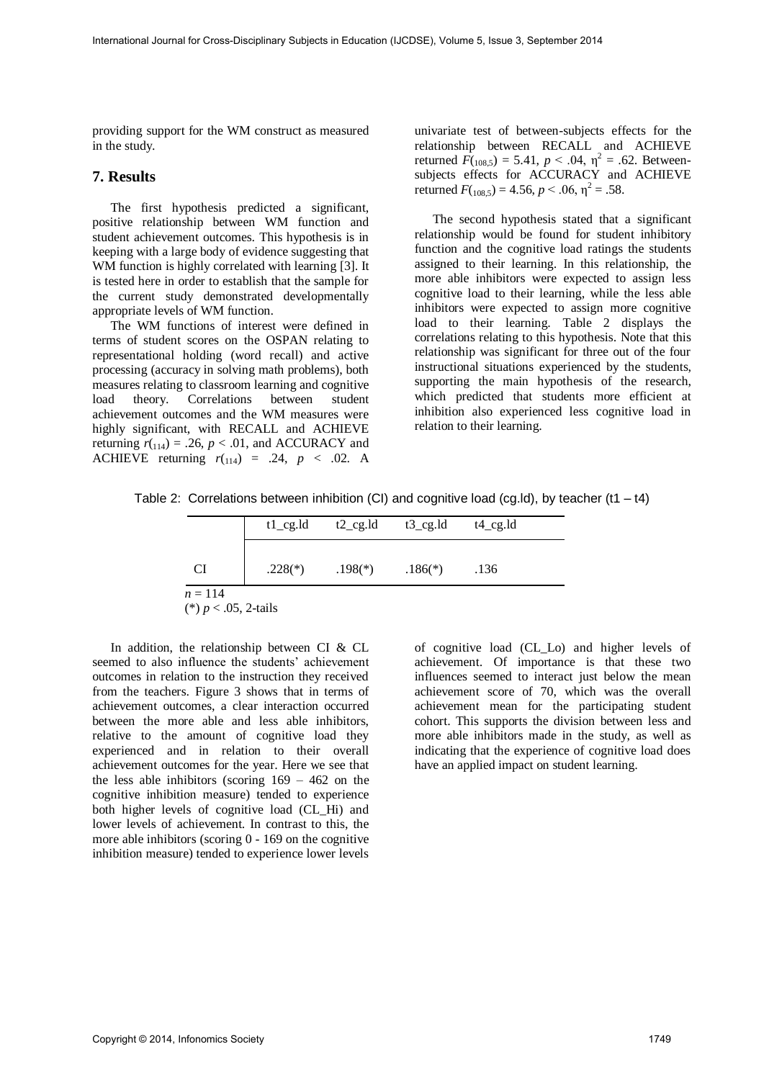providing support for the WM construct as measured in the study.

### **7. Results**

The first hypothesis predicted a significant, positive relationship between WM function and student achievement outcomes. This hypothesis is in keeping with a large body of evidence suggesting that WM function is highly correlated with learning [3]. It is tested here in order to establish that the sample for the current study demonstrated developmentally appropriate levels of WM function.

The WM functions of interest were defined in terms of student scores on the OSPAN relating to representational holding (word recall) and active processing (accuracy in solving math problems), both measures relating to classroom learning and cognitive load theory. Correlations between student achievement outcomes and the WM measures were highly significant, with RECALL and ACHIEVE returning  $r_{114}$ ) = .26,  $p < .01$ , and ACCURACY and ACHIEVE returning  $r_{(114)} = .24$ ,  $p < .02$ . A

univariate test of between-subjects effects for the relationship between RECALL and ACHIEVE returned  $F(108,5) = 5.41$ ,  $p < .04$ ,  $\eta^2 = .62$ . Betweensubjects effects for ACCURACY and ACHIEVE returned  $F(108,5) = 4.56$ ,  $p < .06$ ,  $\eta^2 = .58$ .

The second hypothesis stated that a significant relationship would be found for student inhibitory function and the cognitive load ratings the students assigned to their learning. In this relationship, the more able inhibitors were expected to assign less cognitive load to their learning, while the less able inhibitors were expected to assign more cognitive load to their learning. Table 2 displays the correlations relating to this hypothesis. Note that this relationship was significant for three out of the four instructional situations experienced by the students, supporting the main hypothesis of the research, which predicted that students more efficient at inhibition also experienced less cognitive load in relation to their learning.

Table 2: Correlations between inhibition (CI) and cognitive load (cg.ld), by teacher (t1 – t4)

|                                      | $t1_{\text{eq}}$ .ld | $t2_{\text{g}}$ .ld | $t3$ cg.ld | $t4_{\text{eq}}$ .ld |  |
|--------------------------------------|----------------------|---------------------|------------|----------------------|--|
| CI                                   | $.228(*)$            | $.198(*)$           | $.186(*)$  | .136                 |  |
| $n = 114$<br>(*) $p < .05$ , 2-tails |                      |                     |            |                      |  |

In addition, the relationship between CI & CL seemed to also influence the students' achievement outcomes in relation to the instruction they received from the teachers. Figure 3 shows that in terms of achievement outcomes, a clear interaction occurred between the more able and less able inhibitors, relative to the amount of cognitive load they experienced and in relation to their overall achievement outcomes for the year. Here we see that the less able inhibitors (scoring  $169 - 462$  on the cognitive inhibition measure) tended to experience both higher levels of cognitive load (CL\_Hi) and lower levels of achievement. In contrast to this, the more able inhibitors (scoring 0 - 169 on the cognitive inhibition measure) tended to experience lower levels

of cognitive load (CL\_Lo) and higher levels of achievement. Of importance is that these two influences seemed to interact just below the mean achievement score of 70, which was the overall achievement mean for the participating student cohort. This supports the division between less and more able inhibitors made in the study, as well as indicating that the experience of cognitive load does have an applied impact on student learning.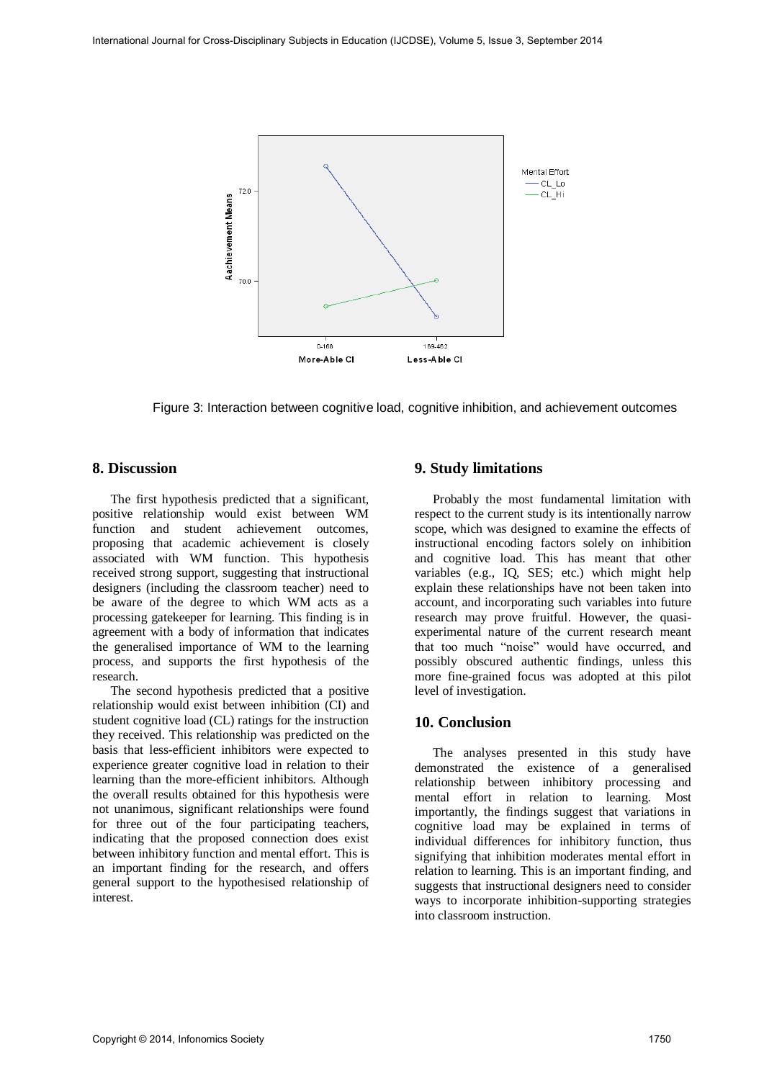

Figure 3: Interaction between cognitive load, cognitive inhibition, and achievement outcomes

### **8. Discussion**

The first hypothesis predicted that a significant, positive relationship would exist between WM function and student achievement outcomes, proposing that academic achievement is closely associated with WM function. This hypothesis received strong support, suggesting that instructional designers (including the classroom teacher) need to be aware of the degree to which WM acts as a processing gatekeeper for learning. This finding is in agreement with a body of information that indicates the generalised importance of WM to the learning process, and supports the first hypothesis of the research.

The second hypothesis predicted that a positive relationship would exist between inhibition (CI) and student cognitive load (CL) ratings for the instruction they received. This relationship was predicted on the basis that less-efficient inhibitors were expected to experience greater cognitive load in relation to their learning than the more-efficient inhibitors. Although the overall results obtained for this hypothesis were not unanimous, significant relationships were found for three out of the four participating teachers, indicating that the proposed connection does exist between inhibitory function and mental effort. This is an important finding for the research, and offers general support to the hypothesised relationship of interest.

## **9. Study limitations**

Probably the most fundamental limitation with respect to the current study is its intentionally narrow scope, which was designed to examine the effects of instructional encoding factors solely on inhibition and cognitive load. This has meant that other variables (e.g., IQ, SES; etc.) which might help explain these relationships have not been taken into account, and incorporating such variables into future research may prove fruitful. However, the quasiexperimental nature of the current research meant that too much "noise" would have occurred, and possibly obscured authentic findings, unless this more fine-grained focus was adopted at this pilot level of investigation.

## **10. Conclusion**

The analyses presented in this study have demonstrated the existence of a generalised relationship between inhibitory processing and mental effort in relation to learning. Most importantly, the findings suggest that variations in cognitive load may be explained in terms of individual differences for inhibitory function, thus signifying that inhibition moderates mental effort in relation to learning. This is an important finding, and suggests that instructional designers need to consider ways to incorporate inhibition-supporting strategies into classroom instruction.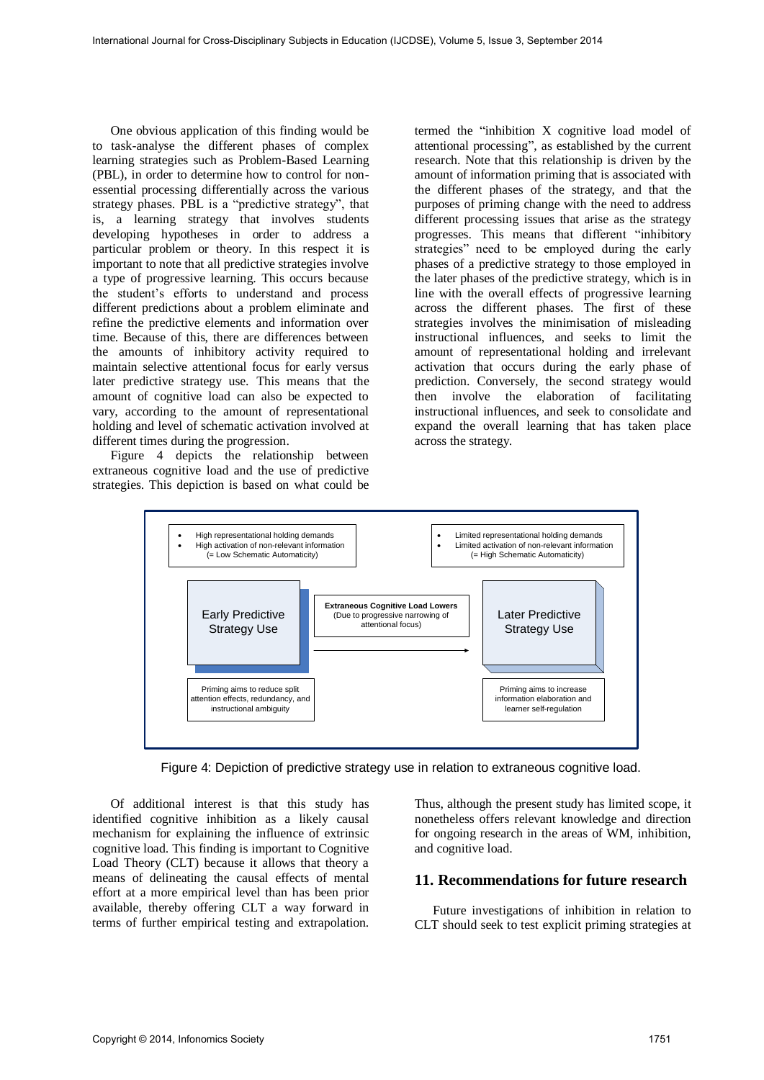One obvious application of this finding would be to task-analyse the different phases of complex learning strategies such as Problem-Based Learning (PBL), in order to determine how to control for nonessential processing differentially across the various strategy phases. PBL is a "predictive strategy", that is, a learning strategy that involves students developing hypotheses in order to address a particular problem or theory. In this respect it is important to note that all predictive strategies involve a type of progressive learning. This occurs because the student's efforts to understand and process different predictions about a problem eliminate and refine the predictive elements and information over time. Because of this, there are differences between the amounts of inhibitory activity required to maintain selective attentional focus for early versus later predictive strategy use. This means that the amount of cognitive load can also be expected to vary, according to the amount of representational holding and level of schematic activation involved at different times during the progression.

Figure 4 depicts the relationship between extraneous cognitive load and the use of predictive strategies. This depiction is based on what could be termed the "inhibition X cognitive load model of attentional processing", as established by the current research. Note that this relationship is driven by the amount of information priming that is associated with the different phases of the strategy, and that the purposes of priming change with the need to address different processing issues that arise as the strategy progresses. This means that different "inhibitory strategies" need to be employed during the early phases of a predictive strategy to those employed in the later phases of the predictive strategy, which is in line with the overall effects of progressive learning across the different phases. The first of these strategies involves the minimisation of misleading instructional influences, and seeks to limit the amount of representational holding and irrelevant activation that occurs during the early phase of prediction. Conversely, the second strategy would then involve the elaboration of facilitating instructional influences, and seek to consolidate and expand the overall learning that has taken place across the strategy.



Figure 4: Depiction of predictive strategy use in relation to extraneous cognitive load.

Of additional interest is that this study has identified cognitive inhibition as a likely causal mechanism for explaining the influence of extrinsic cognitive load. This finding is important to Cognitive Load Theory (CLT) because it allows that theory a means of delineating the causal effects of mental effort at a more empirical level than has been prior available, thereby offering CLT a way forward in terms of further empirical testing and extrapolation.

Thus, although the present study has limited scope, it nonetheless offers relevant knowledge and direction for ongoing research in the areas of WM, inhibition, and cognitive load.

### **11. Recommendations for future research**

Future investigations of inhibition in relation to CLT should seek to test explicit priming strategies at